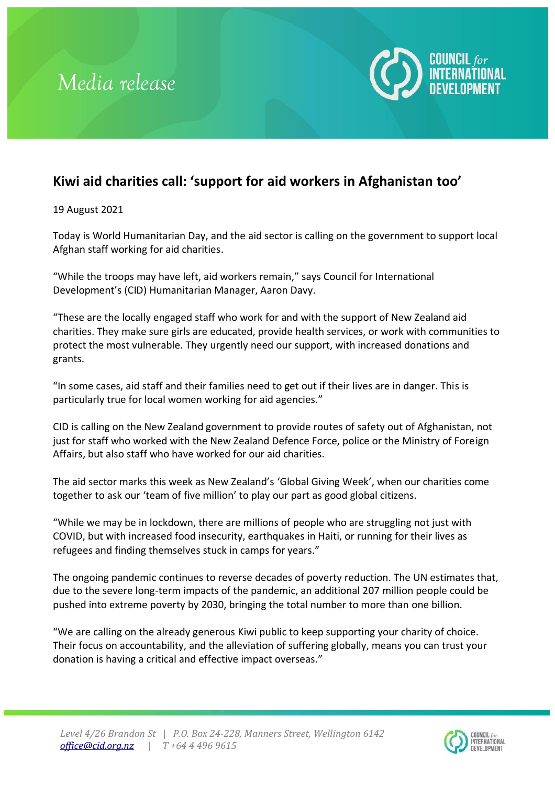



## **Kiwi aid charities call: 'support for aid workers in Afghanistan too'**

19 August 2021

Today is World Humanitarian Day, and the aid sector is calling on the government to support local Afghan staff working for aid charities.

"While the troops may have left, aid workers remain," says Council for International Development's (CID) Humanitarian Manager, Aaron Davy.

"These are the locally engaged staff who work for and with the support of New Zealand aid charities. They make sure girls are educated, provide health services, or work with communities to protect the most vulnerable. They urgently need our support, with increased donations and grants.

"In some cases, aid staff and their families need to get out if their lives are in danger. This is particularly true for local women working for aid agencies."

CID is calling on the New Zealand government to provide routes of safety out of Afghanistan, not just for staff who worked with the New Zealand Defence Force, police or the Ministry of Foreign Affairs, but also staff who have worked for our aid charities.

The aid sector marks this week as New Zealand's 'Global Giving Week', when our charities come together to ask our 'team of five million' to play our part as good global citizens.

"While we may be in lockdown, there are millions of people who are struggling not just with COVID, but with increased food insecurity, earthquakes in Haiti, or running for their lives as refugees and finding themselves stuck in camps for years."

The ongoing pandemic continues to reverse decades of poverty reduction. The UN estimates that, due to the severe long-term impacts of the pandemic, an additional 207 million people could be pushed into extreme poverty by 2030, bringing the total number to more than one billion.

"We are calling on the already generous Kiwi public to keep supporting your charity of choice. Their focus on accountability, and the alleviation of suffering globally, means you can trust your donation is having a critical and effective impact overseas."